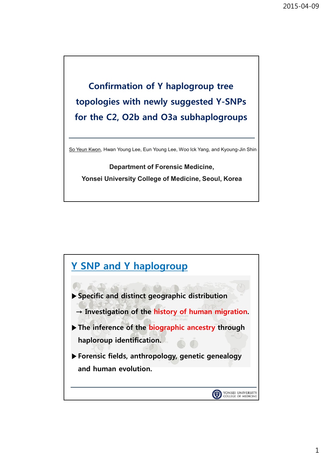## **Confirmation of Y haplogroup tree topologies with newly suggested Y-SNPs for the C2, O2b and O3a subhaplogroups**

So Yeun Kwon, Hwan Young Lee, Eun Young Lee, Woo Ick Yang, and Kyoung-Jin Shin

**Department of Forensic Medicine, Yonsei University College of Medicine, Seoul, Korea**

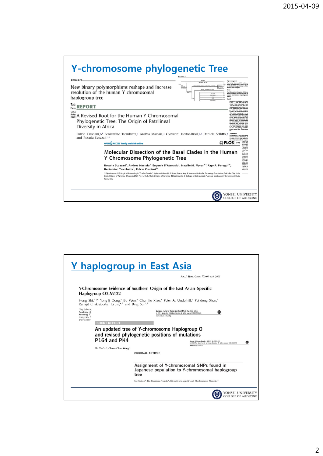| Resource                                                             |                                                                                                                                                                                                                                                                                                                                                                                                                  | Karafet et al.<br>M01, PBT<br>MAIL MISS, PAS, PA                                                                                                                       | Malor reams concel<br>The newly discovered P59 polymer                                                                                                                                                                                                                                                                                                                                                                                                                                                                                                |
|----------------------------------------------------------------------|------------------------------------------------------------------------------------------------------------------------------------------------------------------------------------------------------------------------------------------------------------------------------------------------------------------------------------------------------------------------------------------------------------------|------------------------------------------------------------------------------------------------------------------------------------------------------------------------|-------------------------------------------------------------------------------------------------------------------------------------------------------------------------------------------------------------------------------------------------------------------------------------------------------------------------------------------------------------------------------------------------------------------------------------------------------------------------------------------------------------------------------------------------------|
| resolution of the human Y chromosomal<br>haplogroup tree             | New binary polymorphisms reshape and increase                                                                                                                                                                                                                                                                                                                                                                    | ARMONS (POSS, MOSS, PS44, PTS3, PT45, PT42, PT4<br>M124 (el)<br><b>PEL FIG</b><br>ANGEL SMOK<br>m<br>F254                                                              | photon that Autour the D1 beans'l conven-<br>in Mainland Asia, specifically in Tibet,<br>the Altai, and More<br>The N3 mutation (Dang et al. 2004) was<br>not incorporated into the new tree be-<br>cause of uncertainty in its phylogenetic<br>position<br>Clade E<br>group E is now defined by 18 ma                                                                                                                                                                                                                                                |
| Tati:<br><b>REPORT</b><br>Poto                                       |                                                                                                                                                                                                                                                                                                                                                                                                                  |                                                                                                                                                                        | 15 (SRT and MS6, P29, P150, P152, P153, P153,<br>F171, F172, P173, F174, F175, and<br>mantal Fig. 5). There are a<br>of All<br><b>Importing sites that mark</b><br>pen vetilisin thiis clade, communed                                                                                                                                                                                                                                                                                                                                                |
| Bloker<br>Diversity in Africa<br>and Rosaria Scozzari <sup>1,*</sup> | A Revised Root for the Human Y Chromosomal<br>Phylogenetic Tree: The Origin of Patrilineal<br>Fulvio Cruciani, <sup>1,*</sup> Beniamino Trombetta, <sup>1</sup> Andrea Massaia, <sup>1</sup> Giovanni Destro-Bisol, <sup>2,3</sup> Daniele Sellitto, <sup>4</sup><br><b>OPEN C ACCESS Freely available online</b>                                                                                                |                                                                                                                                                                        | chromosoma clades. These nots<br>hinma define 56 distance hap<br>which can be found at high<br>to Africa, at modes<br>tes in the Middle East and wasth.<br>one and with occasional cover<br>in Control and South Ave (Ham-<br>it al. 1998- Underhill at al. 2001-<br>ani at al. 2002; lobbing and Tyter-<br>2003 - Samiroo et al. 2004 - Siana a<br>32, haplogroup E was characterized<br>ree basal benechen L-MI3 (LD, E.<br>12), and E-P2 (E3). The newly dis-<br>of subvey-solutors PL47 equation<br>this clade<br><b>OPLOS</b><br><b>M75 (E2)</b> |
|                                                                      | Molecular Dissection of the Basal Clades in the Human<br>Y Chromosome Phylogenetic Tree                                                                                                                                                                                                                                                                                                                          |                                                                                                                                                                        | <b>K. With E.</b><br><b>M. E-M33</b><br>new poly<br>center do<br><b>Britain</b> cross<br>6. 8", was<br>Mca. Han<br>ridate da<br>in was de-<br>(113.11)<br><b>B. E-M155</b>                                                                                                                                                                                                                                                                                                                                                                            |
|                                                                      | Rosaria Scozzari <sup>1</sup> , Andrea Massaia <sup>1</sup> , Eugenia D'Atanasio <sup>1</sup> , Natalie M. Myres <sup>2,3</sup> , Ugo A. Perego <sup>2,4</sup> ,<br>Beniamino Trombetta <sup>1</sup> , Fulvio Cruciani <sup>1</sup> *<br>1 Dipartimento di Biologia e Biotecnologie "Charles Darwin", Sapienza Università di Roma, Rome, Italy, 2 Sorenson Molecular Genealogy Foundation, Salt Lake City, Utah, | United States of America, 3 AncestryDNA, Provo, Utah, United States of America, 4 Dipartimento di Biologia e Biotecnologie "Lazzaro Spallanzani", Università di Pavia, | unica (Un-<br>représions le<br>$15$ (\$3515)<br>well an six<br>have also<br>(1d), E-V6                                                                                                                                                                                                                                                                                                                                                                                                                                                                |

|                                                                                                                                                                         | <b>Y</b> haplogroup in East Asia<br>Am. J. Hum. Genet. 77:408-419, 2005                                                                                                                                                                                                                                                                                                                                                    |
|-------------------------------------------------------------------------------------------------------------------------------------------------------------------------|----------------------------------------------------------------------------------------------------------------------------------------------------------------------------------------------------------------------------------------------------------------------------------------------------------------------------------------------------------------------------------------------------------------------------|
| Haplogroup O3-M122<br>Ranajit Chakraborty, <sup>7</sup> Li Jin, <sup>4,7</sup> and Bing Su <sup>1,2,7</sup>                                                             | Y-Chromosome Evidence of Southern Origin of the East Asian–Specific<br>Hong Shi, <sup>1,2,6</sup> Yong-li Dong, <sup>3</sup> Bo Wen, <sup>4</sup> Chun-Jie Xiao, <sup>3</sup> Peter A. Underhill, <sup>5</sup> Pei-dong Shen, <sup>5</sup>                                                                                                                                                                                 |
| 'Key Laborat<br>Academy of<br>Kunming, Ch<br>University, S<br>and 'Center<br><b>SHORT REPORT</b><br><b>P164 and PK4</b><br>Shi Yan*,1,2, Chuan-Chao Wang <sup>1</sup> , | European Journal of Human Genetics (2011) 19, 1013-1015<br>npg<br>C 2011 Macmillan Publishers Limited All rights reserved 1018-4813/11<br>www.nature.com/eihg<br>An updated tree of Y-chromosome Haplogroup O<br>and revised phylogenetic positions of mutations<br>Journal of Human Genetics (2013) 58, 195-201<br>œ<br>c 2013 The Japan Society of Human Genetics All rights reserved 1434-5161/13<br>www.nature.com/ihg |
|                                                                                                                                                                         | <b>ORIGINAL ARTICLE</b><br>Assignment of Y-chromosomal SNPs found in<br>Japanese population to Y-chromosomal haplogroup<br>tree<br>Sae Naitoh <sup>1</sup> , Iku Kasahara-Nonaka <sup>1</sup> , Kiyoshi Minaguchi <sup>1</sup> and Phrabhakaran Nambiar <sup>2</sup>                                                                                                                                                       |
|                                                                                                                                                                         | YONSEI UNIVERSITY<br>COLLEGE OF MEDICINE                                                                                                                                                                                                                                                                                                                                                                                   |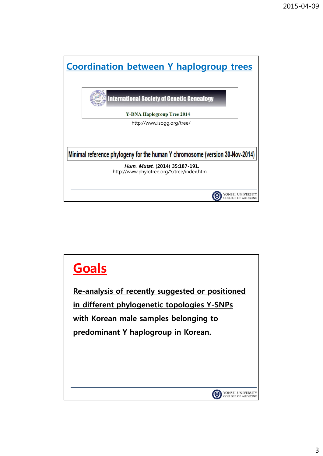

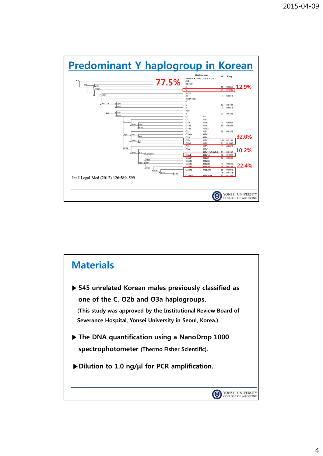

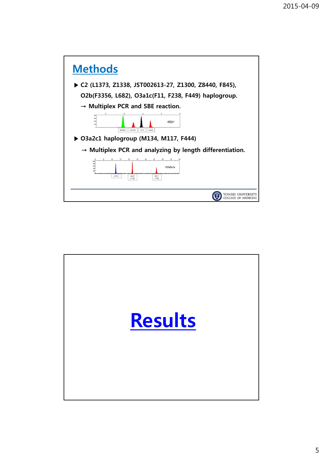

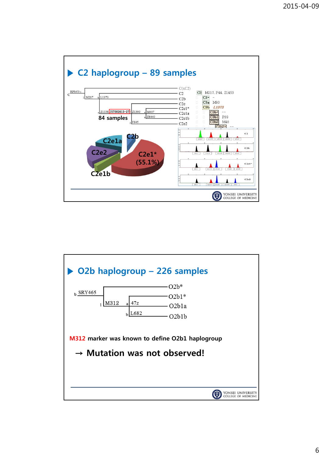

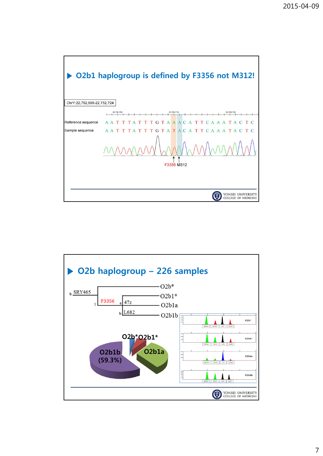

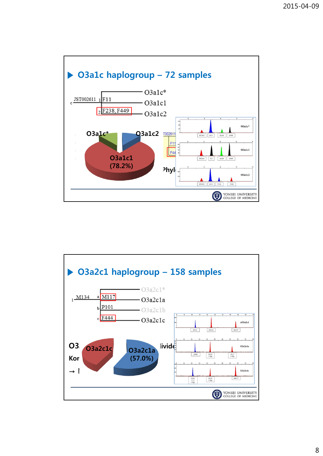

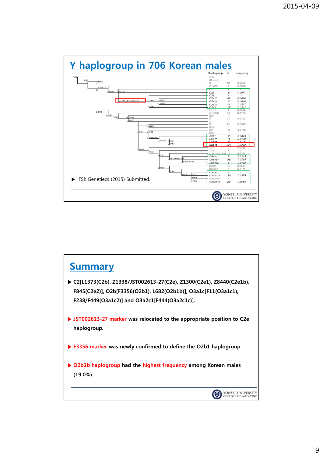